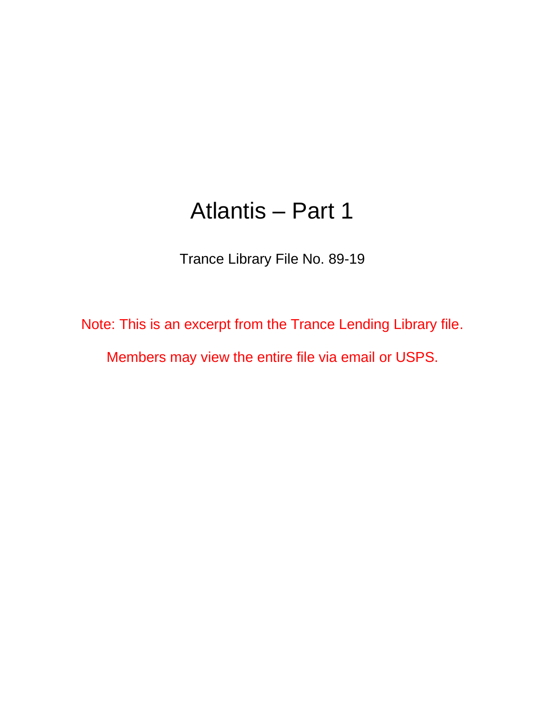## Atlantis – Part 1

Trance Library File No. 89-19

Note: This is an excerpt from the Trance Lending Library file.

Members may view the entire file via email or USPS.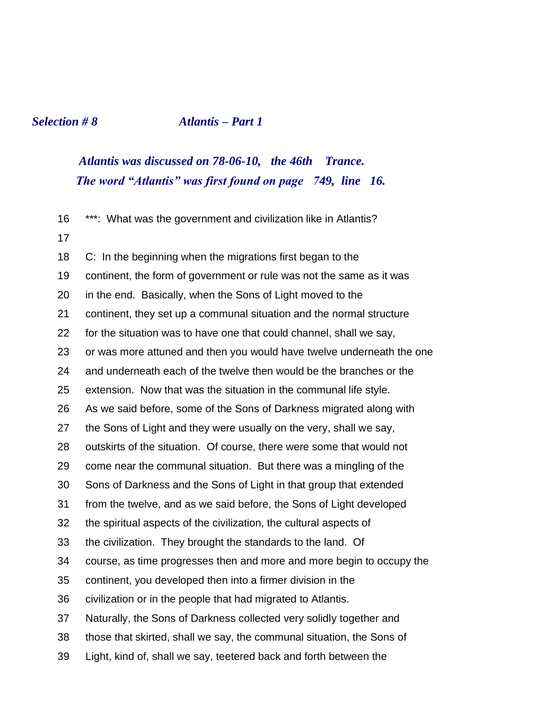## *Selection # 8 Atlantis – Part 1*

## *Atlantis was discussed on 78-06-10, the 46th Trance. The word "Atlantis" was first found on page 749, line 16.*

| 16 | ***: What was the government and civilization like in Atlantis?       |
|----|-----------------------------------------------------------------------|
| 17 |                                                                       |
| 18 | C: In the beginning when the migrations first began to the            |
| 19 | continent, the form of government or rule was not the same as it was  |
| 20 | in the end. Basically, when the Sons of Light moved to the            |
| 21 | continent, they set up a communal situation and the normal structure  |
| 22 | for the situation was to have one that could channel, shall we say,   |
| 23 | or was more attuned and then you would have twelve underneath the one |
| 24 | and underneath each of the twelve then would be the branches or the   |
| 25 | extension. Now that was the situation in the communal life style.     |
| 26 | As we said before, some of the Sons of Darkness migrated along with   |
| 27 | the Sons of Light and they were usually on the very, shall we say,    |
| 28 | outskirts of the situation. Of course, there were some that would not |
| 29 | come near the communal situation. But there was a mingling of the     |
| 30 | Sons of Darkness and the Sons of Light in that group that extended    |
| 31 | from the twelve, and as we said before, the Sons of Light developed   |
| 32 | the spiritual aspects of the civilization, the cultural aspects of    |
| 33 | the civilization. They brought the standards to the land. Of          |
| 34 | course, as time progresses then and more and more begin to occupy the |
| 35 | continent, you developed then into a firmer division in the           |
| 36 | civilization or in the people that had migrated to Atlantis.          |
| 37 | Naturally, the Sons of Darkness collected very solidly together and   |
| 38 | those that skirted, shall we say, the communal situation, the Sons of |
| 39 | Light, kind of, shall we say, teetered back and forth between the     |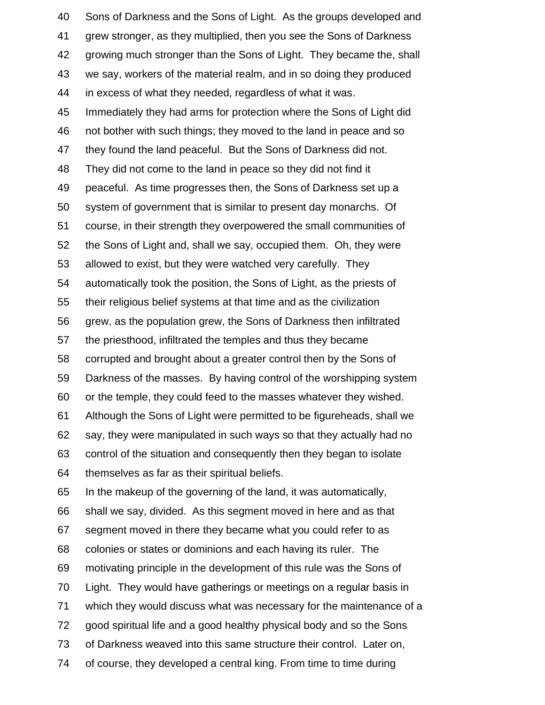Sons of Darkness and the Sons of Light. As the groups developed and grew stronger, as they multiplied, then you see the Sons of Darkness growing much stronger than the Sons of Light. They became the, shall we say, workers of the material realm, and in so doing they produced in excess of what they needed, regardless of what it was. Immediately they had arms for protection where the Sons of Light did not bother with such things; they moved to the land in peace and so they found the land peaceful. But the Sons of Darkness did not. They did not come to the land in peace so they did not find it peaceful. As time progresses then, the Sons of Darkness set up a system of government that is similar to present day monarchs. Of course, in their strength they overpowered the small communities of the Sons of Light and, shall we say, occupied them. Oh, they were allowed to exist, but they were watched very carefully. They automatically took the position, the Sons of Light, as the priests of their religious belief systems at that time and as the civilization grew, as the population grew, the Sons of Darkness then infiltrated the priesthood, infiltrated the temples and thus they became corrupted and brought about a greater control then by the Sons of Darkness of the masses. By having control of the worshipping system or the temple, they could feed to the masses whatever they wished. Although the Sons of Light were permitted to be figureheads, shall we say, they were manipulated in such ways so that they actually had no control of the situation and consequently then they began to isolate themselves as far as their spiritual beliefs. In the makeup of the governing of the land, it was automatically, shall we say, divided. As this segment moved in here and as that segment moved in there they became what you could refer to as colonies or states or dominions and each having its ruler. The motivating principle in the development of this rule was the Sons of Light. They would have gatherings or meetings on a regular basis in which they would discuss what was necessary for the maintenance of a good spiritual life and a good healthy physical body and so the Sons of Darkness weaved into this same structure their control. Later on, of course, they developed a central king. From time to time during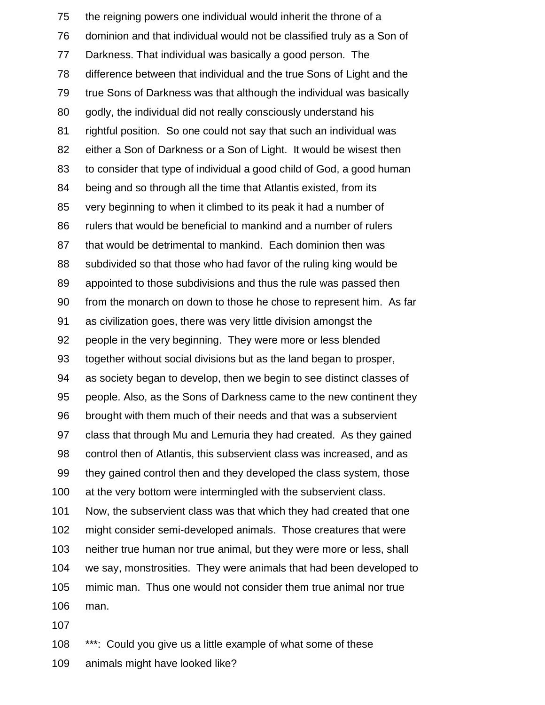the reigning powers one individual would inherit the throne of a dominion and that individual would not be classified truly as a Son of Darkness. That individual was basically a good person. The difference between that individual and the true Sons of Light and the true Sons of Darkness was that although the individual was basically godly, the individual did not really consciously understand his rightful position. So one could not say that such an individual was either a Son of Darkness or a Son of Light. It would be wisest then to consider that type of individual a good child of God, a good human being and so through all the time that Atlantis existed, from its very beginning to when it climbed to its peak it had a number of rulers that would be beneficial to mankind and a number of rulers that would be detrimental to mankind. Each dominion then was subdivided so that those who had favor of the ruling king would be appointed to those subdivisions and thus the rule was passed then from the monarch on down to those he chose to represent him. As far as civilization goes, there was very little division amongst the people in the very beginning. They were more or less blended together without social divisions but as the land began to prosper, as society began to develop, then we begin to see distinct classes of people. Also, as the Sons of Darkness came to the new continent they brought with them much of their needs and that was a subservient class that through Mu and Lemuria they had created. As they gained control then of Atlantis, this subservient class was increased, and as they gained control then and they developed the class system, those 100 at the very bottom were intermingled with the subservient class. Now, the subservient class was that which they had created that one might consider semi-developed animals. Those creatures that were neither true human nor true animal, but they were more or less, shall we say, monstrosities. They were animals that had been developed to mimic man. Thus one would not consider them true animal nor true man. 

\*\*\*: Could you give us a little example of what some of these

animals might have looked like?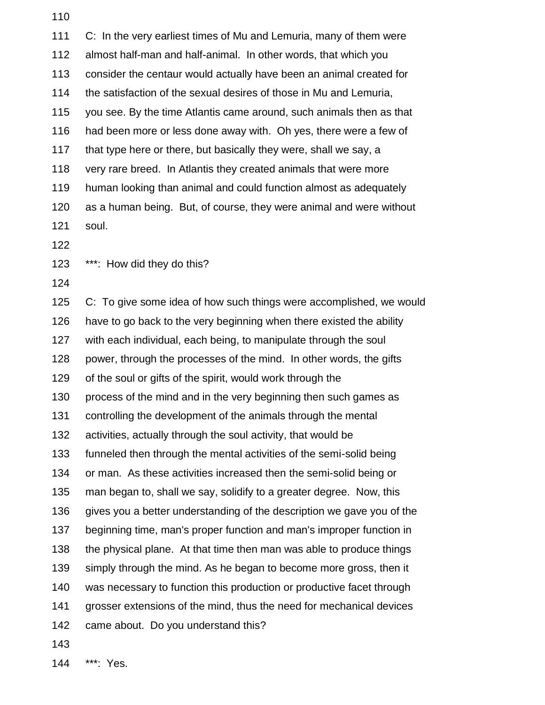| 111 | C: In the very earliest times of Mu and Lemuria, many of them were     |
|-----|------------------------------------------------------------------------|
| 112 | almost half-man and half-animal. In other words, that which you        |
| 113 | consider the centaur would actually have been an animal created for    |
| 114 | the satisfaction of the sexual desires of those in Mu and Lemuria,     |
| 115 | you see. By the time Atlantis came around, such animals then as that   |
| 116 | had been more or less done away with. Oh yes, there were a few of      |
| 117 | that type here or there, but basically they were, shall we say, a      |
| 118 | very rare breed. In Atlantis they created animals that were more       |
| 119 | human looking than animal and could function almost as adequately      |
| 120 | as a human being. But, of course, they were animal and were without    |
| 121 | soul.                                                                  |
| 122 |                                                                        |
| 123 | ***: How did they do this?                                             |
| 124 |                                                                        |
| 125 | C: To give some idea of how such things were accomplished, we would    |
| 126 | have to go back to the very beginning when there existed the ability   |
| 127 | with each individual, each being, to manipulate through the soul       |
| 128 | power, through the processes of the mind. In other words, the gifts    |
| 129 | of the soul or gifts of the spirit, would work through the             |
| 130 | process of the mind and in the very beginning then such games as       |
| 131 | controlling the development of the animals through the mental          |
| 132 | activities, actually through the soul activity, that would be          |
| 133 | funneled then through the mental activities of the semi-solid being    |
| 134 | or man. As these activities increased then the semi-solid being or     |
| 135 | man began to, shall we say, solidify to a greater degree. Now, this    |
| 136 | gives you a better understanding of the description we gave you of the |
| 137 | beginning time, man's proper function and man's improper function in   |
| 138 | the physical plane. At that time then man was able to produce things   |
| 139 | simply through the mind. As he began to become more gross, then it     |
| 140 | was necessary to function this production or productive facet through  |
| 141 | grosser extensions of the mind, thus the need for mechanical devices   |
| 142 | came about. Do you understand this?                                    |
| 143 |                                                                        |

\*\*\*: Yes.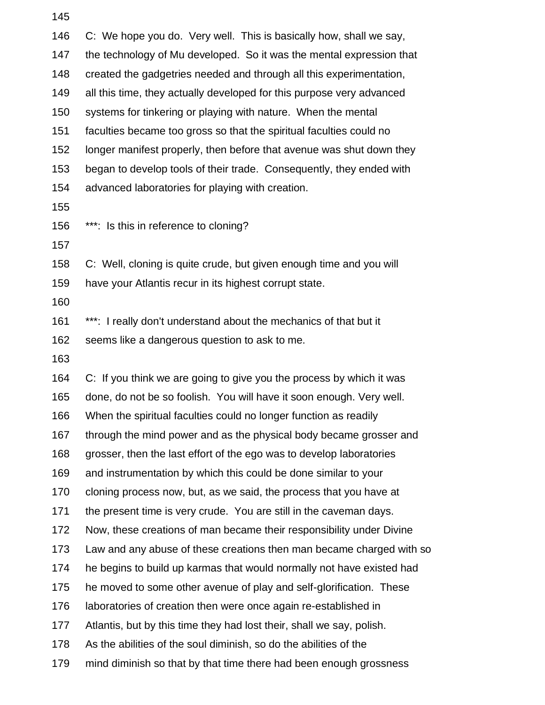| 146 | C: We hope you do. Very well. This is basically how, shall we say,    |
|-----|-----------------------------------------------------------------------|
| 147 | the technology of Mu developed. So it was the mental expression that  |
| 148 | created the gadgetries needed and through all this experimentation,   |
| 149 | all this time, they actually developed for this purpose very advanced |
| 150 | systems for tinkering or playing with nature. When the mental         |
| 151 | faculties became too gross so that the spiritual faculties could no   |
| 152 | longer manifest properly, then before that avenue was shut down they  |
| 153 | began to develop tools of their trade. Consequently, they ended with  |
| 154 | advanced laboratories for playing with creation.                      |
| 155 |                                                                       |
| 156 | ***: Is this in reference to cloning?                                 |
| 157 |                                                                       |
| 158 | C: Well, cloning is quite crude, but given enough time and you will   |
| 159 | have your Atlantis recur in its highest corrupt state.                |
| 160 |                                                                       |
| 161 | ***: I really don't understand about the mechanics of that but it     |
| 162 | seems like a dangerous question to ask to me.                         |
| 163 |                                                                       |
| 164 | C: If you think we are going to give you the process by which it was  |
| 165 | done, do not be so foolish. You will have it soon enough. Very well.  |
| 166 | When the spiritual faculties could no longer function as readily      |
| 167 | through the mind power and as the physical body became grosser and    |
| 168 | grosser, then the last effort of the ego was to develop laboratories  |
| 169 | and instrumentation by which this could be done similar to your       |
| 170 | cloning process now, but, as we said, the process that you have at    |
| 171 | the present time is very crude. You are still in the caveman days.    |
| 172 | Now, these creations of man became their responsibility under Divine  |
| 173 | Law and any abuse of these creations then man became charged with so  |
| 174 | he begins to build up karmas that would normally not have existed had |
| 175 | he moved to some other avenue of play and self-glorification. These   |
| 176 | laboratories of creation then were once again re-established in       |
| 177 | Atlantis, but by this time they had lost their, shall we say, polish. |
| 178 | As the abilities of the soul diminish, so do the abilities of the     |
| 179 | mind diminish so that by that time there had been enough grossness    |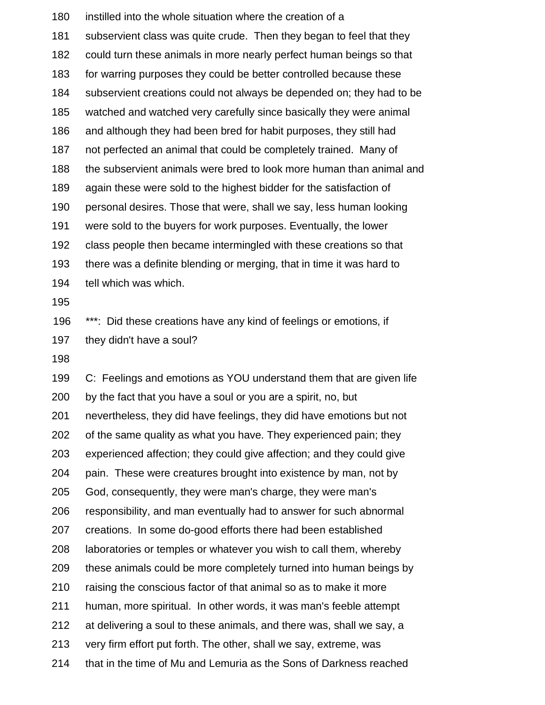instilled into the whole situation where the creation of a subservient class was quite crude. Then they began to feel that they could turn these animals in more nearly perfect human beings so that for warring purposes they could be better controlled because these subservient creations could not always be depended on; they had to be watched and watched very carefully since basically they were animal and although they had been bred for habit purposes, they still had not perfected an animal that could be completely trained. Many of the subservient animals were bred to look more human than animal and again these were sold to the highest bidder for the satisfaction of personal desires. Those that were, shall we say, less human looking were sold to the buyers for work purposes. Eventually, the lower class people then became intermingled with these creations so that there was a definite blending or merging, that in time it was hard to tell which was which. 196 \*\*\*: Did these creations have any kind of feelings or emotions, if they didn't have a soul? C: Feelings and emotions as YOU understand them that are given life by the fact that you have a soul or you are a spirit, no, but nevertheless, they did have feelings, they did have emotions but not of the same quality as what you have. They experienced pain; they experienced affection; they could give affection; and they could give pain. These were creatures brought into existence by man, not by God, consequently, they were man's charge, they were man's responsibility, and man eventually had to answer for such abnormal creations. In some do-good efforts there had been established laboratories or temples or whatever you wish to call them, whereby these animals could be more completely turned into human beings by raising the conscious factor of that animal so as to make it more human, more spiritual. In other words, it was man's feeble attempt

- at delivering a soul to these animals, and there was, shall we say, a
- very firm effort put forth. The other, shall we say, extreme, was
- that in the time of Mu and Lemuria as the Sons of Darkness reached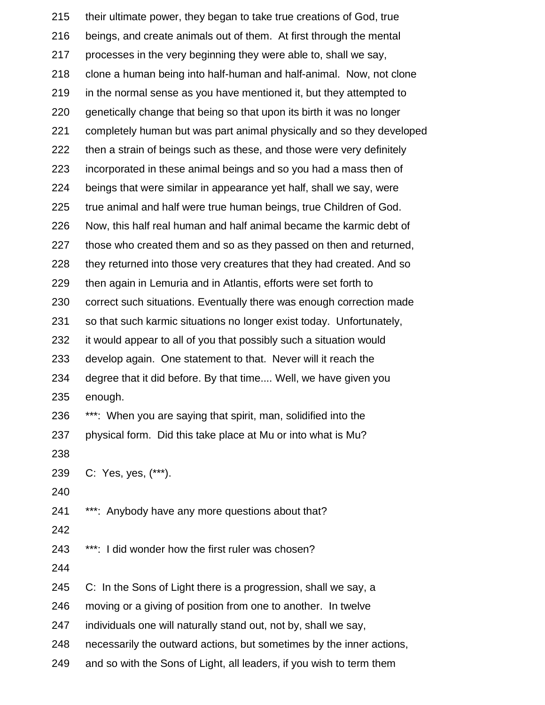| 215 | their ultimate power, they began to take true creations of God, true  |
|-----|-----------------------------------------------------------------------|
| 216 | beings, and create animals out of them. At first through the mental   |
| 217 | processes in the very beginning they were able to, shall we say,      |
| 218 | clone a human being into half-human and half-animal. Now, not clone   |
| 219 | in the normal sense as you have mentioned it, but they attempted to   |
| 220 | genetically change that being so that upon its birth it was no longer |
| 221 | completely human but was part animal physically and so they developed |
| 222 | then a strain of beings such as these, and those were very definitely |
| 223 | incorporated in these animal beings and so you had a mass then of     |
| 224 | beings that were similar in appearance yet half, shall we say, were   |
| 225 | true animal and half were true human beings, true Children of God.    |
| 226 | Now, this half real human and half animal became the karmic debt of   |
| 227 | those who created them and so as they passed on then and returned,    |
| 228 | they returned into those very creatures that they had created. And so |
| 229 | then again in Lemuria and in Atlantis, efforts were set forth to      |
| 230 | correct such situations. Eventually there was enough correction made  |
| 231 | so that such karmic situations no longer exist today. Unfortunately,  |
| 232 | it would appear to all of you that possibly such a situation would    |
| 233 | develop again. One statement to that. Never will it reach the         |
| 234 | degree that it did before. By that time Well, we have given you       |
| 235 | enough.                                                               |
| 236 | ***: When you are saying that spirit, man, solidified into the        |
| 237 | physical form. Did this take place at Mu or into what is Mu?          |
| 238 |                                                                       |
| 239 | C: Yes, yes, (***).                                                   |
| 240 |                                                                       |
| 241 | ***: Anybody have any more questions about that?                      |
| 242 |                                                                       |
| 243 | ***: I did wonder how the first ruler was chosen?                     |
| 244 |                                                                       |
| 245 | C: In the Sons of Light there is a progression, shall we say, a       |
| 246 | moving or a giving of position from one to another. In twelve         |
| 247 | individuals one will naturally stand out, not by, shall we say,       |
| 248 | necessarily the outward actions, but sometimes by the inner actions,  |
| 249 | and so with the Sons of Light, all leaders, if you wish to term them  |